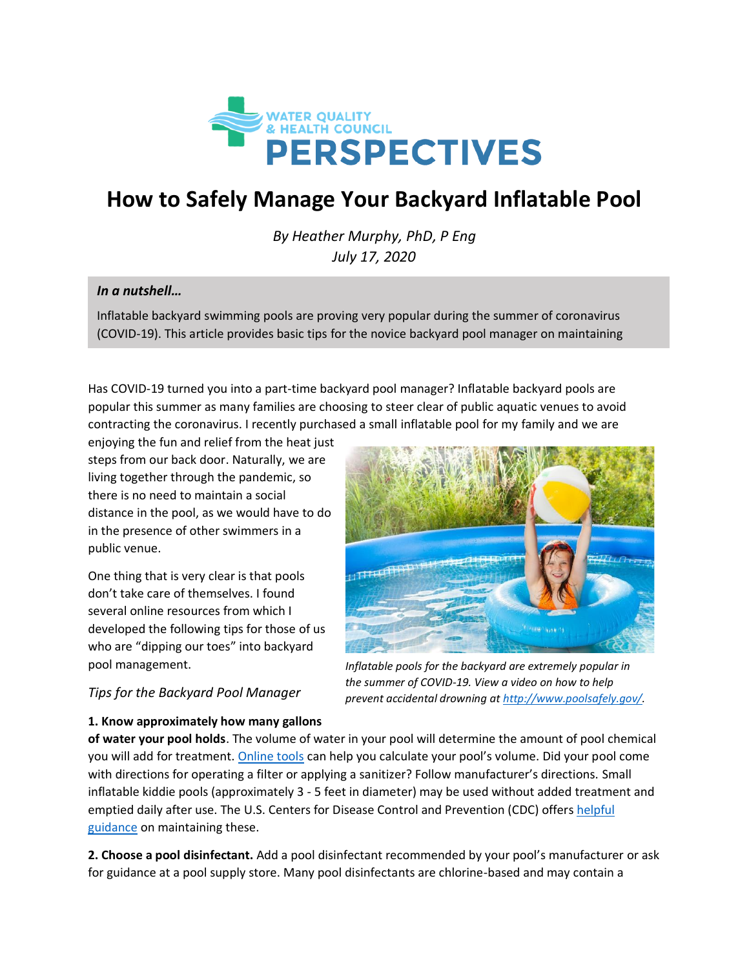

# **How to Safely Manage Your Backyard Inflatable Pool**

*By Heather Murphy, PhD, P Eng July 17, 2020*

### *In a nutshell…*

inflatable pools.

Inflatable backyard swimming pools are proving very popular during the summer of coronavirus (COVID-19). This article provides basic tips for the novice backyard pool manager on maintaining

Has COVID-19 turned you into a part-time backyard pool manager? Inflatable backyard pools are popular this summer as many families are choosing to steer clear of public aquatic venues to avoid contracting the coronavirus. I recently purchased a small inflatable pool for my family and we are

enjoying the fun and relief from the heat just steps from our back door. Naturally, we are living together through the pandemic, so there is no need to maintain a social distance in the pool, as we would have to do in the presence of other swimmers in a public venue.

One thing that is very clear is that pools don't take care of themselves. I found several online resources from which I developed the following tips for those of us who are "dipping our toes" into backyard pool management.



*Inflatable pools for the backyard are extremely popular in the summer of COVID-19. View a video on how to help prevent accidental drowning a[t http://www.poolsafely.gov/.](http://www.poolsafely.gov/)*

## *Tips for the Backyard Pool Manager*

**1. Know approximately how many gallons** 

**of water your pool holds**. The volume of water in your pool will determine the amount of pool chemical you will add for treatment. [Online tools](https://www.swimmingpool.com/maintenance/water-care/pool-volume-calculator/) can help you calculate your pool's volume. Did your pool come with directions for operating a filter or applying a sanitizer? Follow manufacturer's directions. Small inflatable kiddie pools (approximately 3 - 5 feet in diameter) may be used without added treatment and emptied daily after use. The U.S. Centers for Disease Control and Prevention (CDC) offers helpful [guidance](https://www.cdc.gov/healthywater/swimming/swimmers/inflatable-plastic-pools.html) on maintaining these.

**2. Choose a pool disinfectant.** Add a pool disinfectant recommended by your pool's manufacturer or ask for guidance at a pool supply store. Many pool disinfectants are chlorine-based and may contain a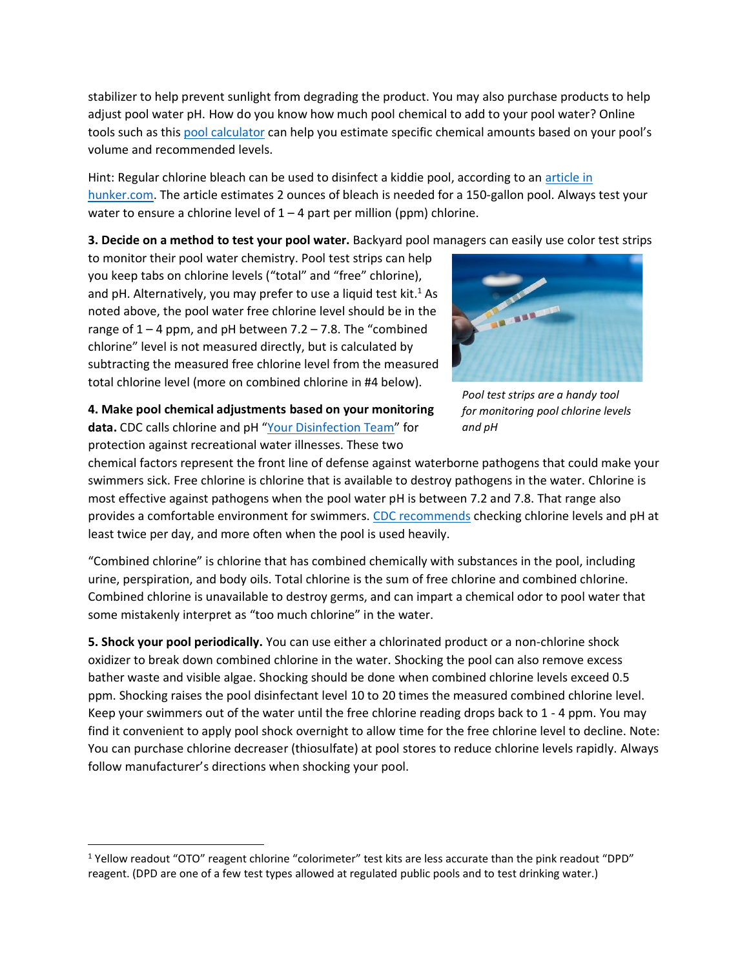stabilizer to help prevent sunlight from degrading the product. You may also purchase products to help adjust pool water pH. How do you know how much pool chemical to add to your pool water? Online tools such as this [pool calculator](https://pooloperationmanagement.com/resources/pool-calculator/) can help you estimate specific chemical amounts based on your pool's volume and recommended levels.

Hint: Regular chlorine bleach can be used to disinfect a kiddie pool, according to an [article in](https://www.hunker.com/13418132/can-i-put-bleach-in-a-kiddie-pool)  [hunker.com.](https://www.hunker.com/13418132/can-i-put-bleach-in-a-kiddie-pool) The article estimates 2 ounces of bleach is needed for a 150-gallon pool. Always test your water to ensure a chlorine level of  $1 - 4$  part per million (ppm) chlorine.

**3. Decide on a method to test your pool water.** Backyard pool managers can easily use color test strips

to monitor their pool water chemistry. Pool test strips can help you keep tabs on chlorine levels ("total" and "free" chlorine), and pH. Alternatively, you may prefer to use a liquid test kit.<sup>1</sup> As noted above, the pool water free chlorine level should be in the range of  $1 - 4$  ppm, and pH between  $7.2 - 7.8$ . The "combined chlorine" level is not measured directly, but is calculated by subtracting the measured free chlorine level from the measured total chlorine level (more on combined chlorine in #4 below).



*Pool test strips are a handy tool for monitoring pool chlorine levels and pH*

**4. Make pool chemical adjustments based on your monitoring data.** CDC calls chlorine and pH "[Your Disinfection Team](https://www.cdc.gov/healthywater/pdf/swimming/resources/disinfection-team-chlorine-ph-factsheet.pdf)" for protection against recreational water illnesses. These two

chemical factors represent the front line of defense against waterborne pathogens that could make your swimmers sick. Free chlorine is chlorine that is available to destroy pathogens in the water. Chlorine is most effective against pathogens when the pool water pH is between 7.2 and 7.8. That range also provides a comfortable environment for swimmers. [CDC recommends](https://www.cdc.gov/healthywater/swimming/residential/disinfection-testing.html) checking chlorine levels and pH at least twice per day, and more often when the pool is used heavily.

"Combined chlorine" is chlorine that has combined chemically with substances in the pool, including urine, perspiration, and body oils. Total chlorine is the sum of free chlorine and combined chlorine. Combined chlorine is unavailable to destroy germs, and can impart a chemical odor to pool water that some mistakenly interpret as "too much chlorine" in the water.

**5. Shock your pool periodically.** You can use either a chlorinated product or a non-chlorine shock oxidizer to break down combined chlorine in the water. Shocking the pool can also remove excess bather waste and visible algae. Shocking should be done when combined chlorine levels exceed 0.5 ppm. Shocking raises the pool disinfectant level 10 to 20 times the measured combined chlorine level. Keep your swimmers out of the water until the free chlorine reading drops back to 1 - 4 ppm. You may find it convenient to apply pool shock overnight to allow time for the free chlorine level to decline. Note: You can purchase chlorine decreaser (thiosulfate) at pool stores to reduce chlorine levels rapidly. Always follow manufacturer's directions when shocking your pool.

<sup>1</sup> Yellow readout "OTO" reagent chlorine "colorimeter" test kits are less accurate than the pink readout "DPD" reagent. (DPD are one of a few test types allowed at regulated public pools and to test drinking water.)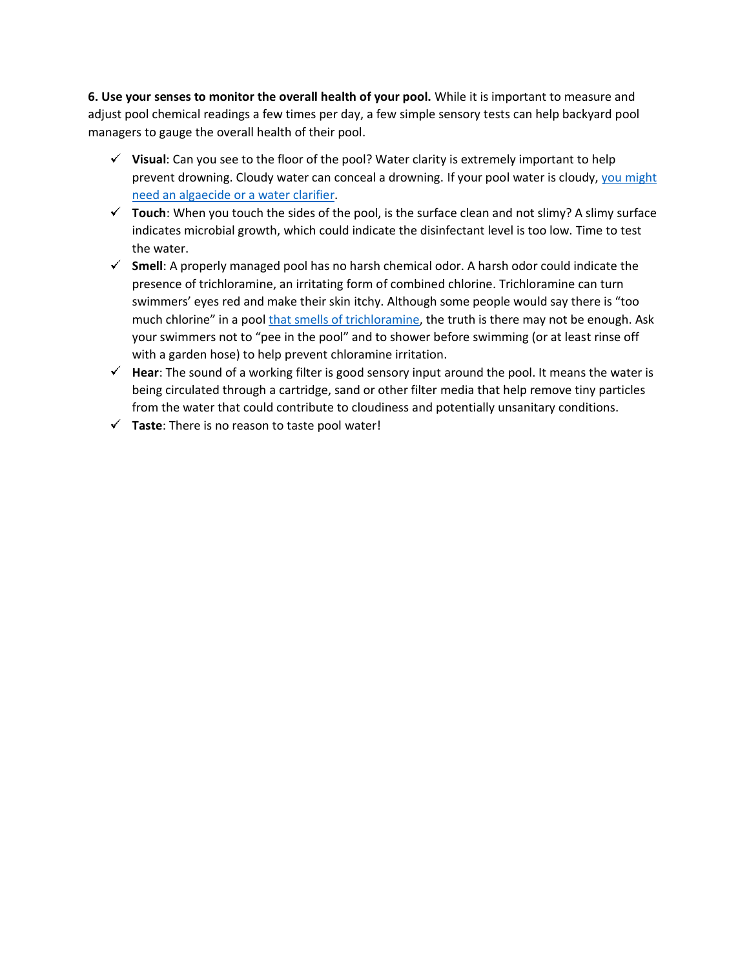**6. Use your senses to monitor the overall health of your pool.** While it is important to measure and adjust pool chemical readings a few times per day, a few simple sensory tests can help backyard pool managers to gauge the overall health of their pool.

- **Visual**: Can you see to the floor of the pool? Water clarity is extremely important to help prevent drowning. Cloudy water can conceal a drowning. If your pool water is cloudy, [you might](https://waterandhealth.org/healthy-pools/pool-maintenance/why-is-my-pool-water-cloudy/)  need an algaecide [or a water clarifier.](https://waterandhealth.org/healthy-pools/pool-maintenance/why-is-my-pool-water-cloudy/)
- **Touch**: When you touch the sides of the pool, is the surface clean and not slimy? A slimy surface indicates microbial growth, which could indicate the disinfectant level is too low. Time to test the water.
- **Smell**: A properly managed pool has no harsh chemical odor. A harsh odor could indicate the presence of trichloramine, an irritating form of combined chlorine. Trichloramine can turn swimmers' eyes red and make their skin itchy. Although some people would say there is "too much chlorine" in a pool [that smells of trichloramine,](https://waterandhealth.org/healthy-pools/the-truth-about-chlorine-in-swimming-pools/) the truth is there may not be enough. Ask your swimmers not to "pee in the pool" and to shower before swimming (or at least rinse off with a garden hose) to help prevent chloramine irritation.
- **Hear**: The sound of a working filter is good sensory input around the pool. It means the water is being circulated through a cartridge, sand or other filter media that help remove tiny particles from the water that could contribute to cloudiness and potentially unsanitary conditions.
- **Taste**: There is no reason to taste pool water!